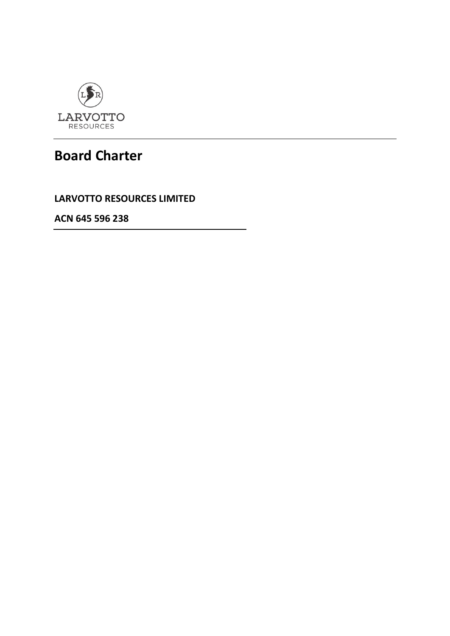

# **Board Charter**

**LARVOTTO RESOURCES LIMITED**

**ACN 645 596 238**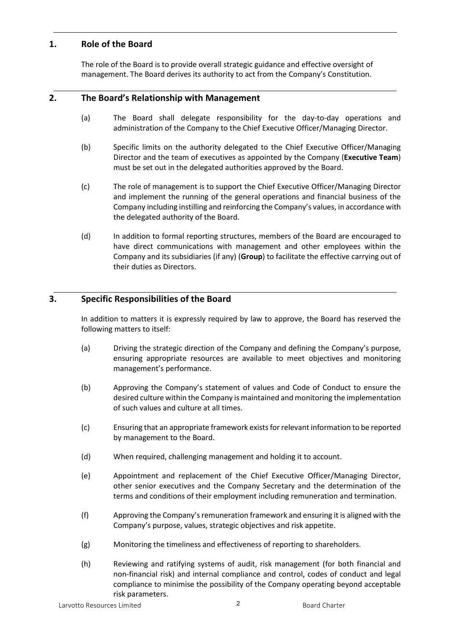# **1. Role of the Board**

The role of the Board is to provide overall strategic guidance and effective oversight of management. The Board derives its authority to act from the Company's Constitution.

# **2. The Board's Relationship with Management**

- (a) The Board shall delegate responsibility for the day-to-day operations and administration of the Company to the Chief Executive Officer/Managing Director.
- (b) Specific limits on the authority delegated to the Chief Executive Officer/Managing Director and the team of executives as appointed by the Company (**Executive Team**) must be set out in the delegated authorities approved by the Board.
- (c) The role of management is to support the Chief Executive Officer/Managing Director and implement the running of the general operations and financial business of the Company including instilling and reinforcing the Company's values, in accordance with the delegated authority of the Board.
- (d) In addition to formal reporting structures, members of the Board are encouraged to have direct communications with management and other employees within the Company and its subsidiaries (if any) (**Group**) to facilitate the effective carrying out of their duties as Directors.

# **3. Specific Responsibilities of the Board**

In addition to matters it is expressly required by law to approve, the Board has reserved the following matters to itself:

- (a) Driving the strategic direction of the Company and defining the Company's purpose, ensuring appropriate resources are available to meet objectives and monitoring management's performance.
- (b) Approving the Company's statement of values and Code of Conduct to ensure the desired culture within the Company is maintained and monitoring the implementation of such values and culture at all times.
- (c) Ensuring that an appropriate framework exists for relevant information to be reported by management to the Board.
- (d) When required, challenging management and holding it to account.
- (e) Appointment and replacement of the Chief Executive Officer/Managing Director, other senior executives and the Company Secretary and the determination of the terms and conditions of their employment including remuneration and termination.
- (f) Approving the Company's remuneration framework and ensuring it is aligned with the Company's purpose, values, strategic objectives and risk appetite.
- (g) Monitoring the timeliness and effectiveness of reporting to shareholders.
- (h) Reviewing and ratifying systems of audit, risk management (for both financial and non-financial risk) and internal compliance and control, codes of conduct and legal compliance to minimise the possibility of the Company operating beyond acceptable risk parameters.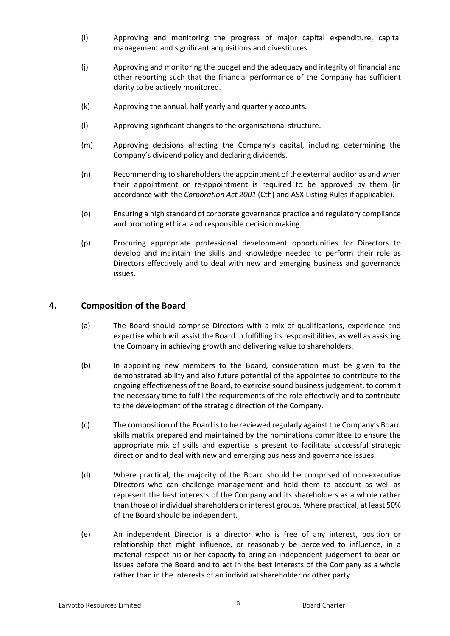- (i) Approving and monitoring the progress of major capital expenditure, capital management and significant acquisitions and divestitures.
- (j) Approving and monitoring the budget and the adequacy and integrity of financial and other reporting such that the financial performance of the Company has sufficient clarity to be actively monitored.
- (k) Approving the annual, half yearly and quarterly accounts.
- (l) Approving significant changes to the organisational structure.
- (m) Approving decisions affecting the Company's capital, including determining the Company's dividend policy and declaring dividends.
- (n) Recommending to shareholders the appointment of the external auditor as and when their appointment or re-appointment is required to be approved by them (in accordance with the *Corporation Act 2001* (Cth) and ASX Listing Rules if applicable).
- (o) Ensuring a high standard of corporate governance practice and regulatory compliance and promoting ethical and responsible decision making.
- (p) Procuring appropriate professional development opportunities for Directors to develop and maintain the skills and knowledge needed to perform their role as Directors effectively and to deal with new and emerging business and governance issues.

#### **4. Composition of the Board**

- (a) The Board should comprise Directors with a mix of qualifications, experience and expertise which will assist the Board in fulfilling its responsibilities, as well as assisting the Company in achieving growth and delivering value to shareholders.
- (b) In appointing new members to the Board, consideration must be given to the demonstrated ability and also future potential of the appointee to contribute to the ongoing effectiveness of the Board, to exercise sound business judgement, to commit the necessary time to fulfil the requirements of the role effectively and to contribute to the development of the strategic direction of the Company.
- (c) The composition of the Board is to be reviewed regularly against the Company's Board skills matrix prepared and maintained by the nominations committee to ensure the appropriate mix of skills and expertise is present to facilitate successful strategic direction and to deal with new and emerging business and governance issues.
- (d) Where practical, the majority of the Board should be comprised of non-executive Directors who can challenge management and hold them to account as well as represent the best interests of the Company and its shareholders as a whole rather than those of individual shareholders or interest groups. Where practical, at least 50% of the Board should be independent.
- (e) An independent Director is a director who is free of any interest, position or relationship that might influence, or reasonably be perceived to influence, in a material respect his or her capacity to bring an independent judgement to bear on issues before the Board and to act in the best interests of the Company as a whole rather than in the interests of an individual shareholder or other party.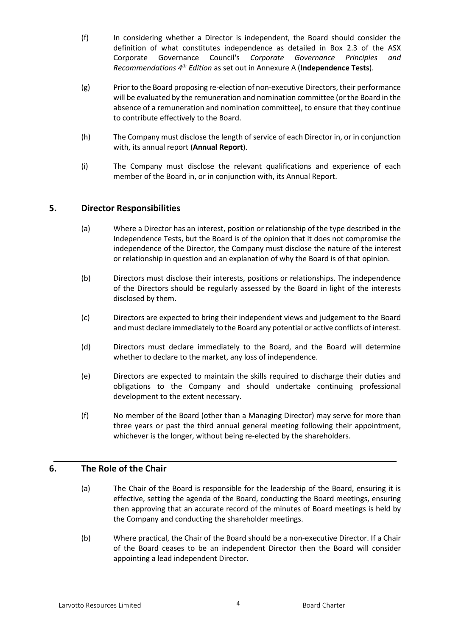- (f) In considering whether a Director is independent, the Board should consider the definition of what constitutes independence as detailed in Box 2.3 of the ASX Corporate Governance Council's *Corporate Governance Principles and Recommendations 4th Edition* as set out in Annexure A (**Independence Tests**).
- (g) Prior to the Board proposing re-election of non-executive Directors, their performance will be evaluated by the remuneration and nomination committee (or the Board in the absence of a remuneration and nomination committee), to ensure that they continue to contribute effectively to the Board.
- (h) The Company must disclose the length of service of each Director in, or in conjunction with, its annual report (**Annual Report**).
- (i) The Company must disclose the relevant qualifications and experience of each member of the Board in, or in conjunction with, its Annual Report.

## **5. Director Responsibilities**

- (a) Where a Director has an interest, position or relationship of the type described in the Independence Tests, but the Board is of the opinion that it does not compromise the independence of the Director, the Company must disclose the nature of the interest or relationship in question and an explanation of why the Board is of that opinion.
- (b) Directors must disclose their interests, positions or relationships. The independence of the Directors should be regularly assessed by the Board in light of the interests disclosed by them.
- (c) Directors are expected to bring their independent views and judgement to the Board and must declare immediately to the Board any potential or active conflicts of interest.
- (d) Directors must declare immediately to the Board, and the Board will determine whether to declare to the market, any loss of independence.
- (e) Directors are expected to maintain the skills required to discharge their duties and obligations to the Company and should undertake continuing professional development to the extent necessary.
- (f) No member of the Board (other than a Managing Director) may serve for more than three years or past the third annual general meeting following their appointment, whichever is the longer, without being re-elected by the shareholders.

# **6. The Role of the Chair**

- (a) The Chair of the Board is responsible for the leadership of the Board, ensuring it is effective, setting the agenda of the Board, conducting the Board meetings, ensuring then approving that an accurate record of the minutes of Board meetings is held by the Company and conducting the shareholder meetings.
- (b) Where practical, the Chair of the Board should be a non-executive Director. If a Chair of the Board ceases to be an independent Director then the Board will consider appointing a lead independent Director.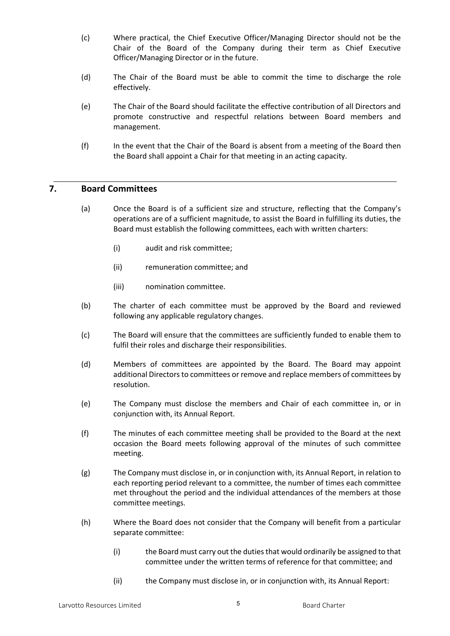- (c) Where practical, the Chief Executive Officer/Managing Director should not be the Chair of the Board of the Company during their term as Chief Executive Officer/Managing Director or in the future.
- (d) The Chair of the Board must be able to commit the time to discharge the role effectively.
- (e) The Chair of the Board should facilitate the effective contribution of all Directors and promote constructive and respectful relations between Board members and management.
- (f) In the event that the Chair of the Board is absent from a meeting of the Board then the Board shall appoint a Chair for that meeting in an acting capacity.

#### **7. Board Committees**

- (a) Once the Board is of a sufficient size and structure, reflecting that the Company's operations are of a sufficient magnitude, to assist the Board in fulfilling its duties, the Board must establish the following committees, each with written charters:
	- (i) audit and risk committee;
	- (ii) remuneration committee; and
	- (iii) nomination committee.
- (b) The charter of each committee must be approved by the Board and reviewed following any applicable regulatory changes.
- (c) The Board will ensure that the committees are sufficiently funded to enable them to fulfil their roles and discharge their responsibilities.
- (d) Members of committees are appointed by the Board. The Board may appoint additional Directors to committees or remove and replace members of committees by resolution.
- (e) The Company must disclose the members and Chair of each committee in, or in conjunction with, its Annual Report.
- (f) The minutes of each committee meeting shall be provided to the Board at the next occasion the Board meets following approval of the minutes of such committee meeting.
- (g) The Company must disclose in, or in conjunction with, its Annual Report, in relation to each reporting period relevant to a committee, the number of times each committee met throughout the period and the individual attendances of the members at those committee meetings.
- (h) Where the Board does not consider that the Company will benefit from a particular separate committee:
	- (i) the Board must carry out the duties that would ordinarily be assigned to that committee under the written terms of reference for that committee; and
	- (ii) the Company must disclose in, or in conjunction with, its Annual Report: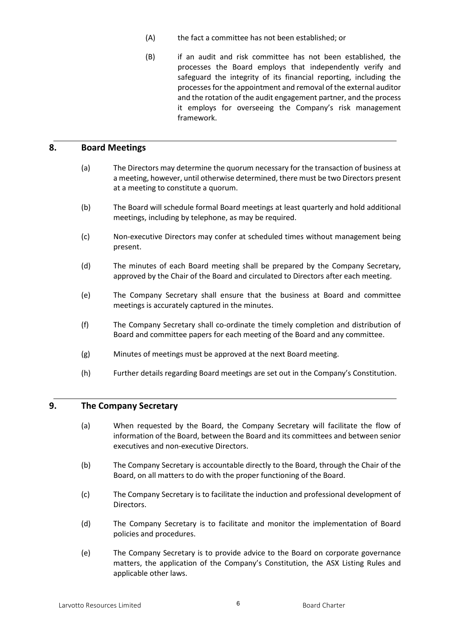- (A) the fact a committee has not been established; or
- (B) if an audit and risk committee has not been established, the processes the Board employs that independently verify and safeguard the integrity of its financial reporting, including the processes for the appointment and removal of the external auditor and the rotation of the audit engagement partner, and the process it employs for overseeing the Company's risk management framework.

#### **8. Board Meetings**

- (a) The Directors may determine the quorum necessary for the transaction of business at a meeting, however, until otherwise determined, there must be two Directors present at a meeting to constitute a quorum.
- (b) The Board will schedule formal Board meetings at least quarterly and hold additional meetings, including by telephone, as may be required.
- (c) Non-executive Directors may confer at scheduled times without management being present.
- (d) The minutes of each Board meeting shall be prepared by the Company Secretary, approved by the Chair of the Board and circulated to Directors after each meeting.
- (e) The Company Secretary shall ensure that the business at Board and committee meetings is accurately captured in the minutes.
- (f) The Company Secretary shall co-ordinate the timely completion and distribution of Board and committee papers for each meeting of the Board and any committee.
- (g) Minutes of meetings must be approved at the next Board meeting.
- (h) Further details regarding Board meetings are set out in the Company's Constitution.

#### **9. The Company Secretary**

- (a) When requested by the Board, the Company Secretary will facilitate the flow of information of the Board, between the Board and its committees and between senior executives and non-executive Directors.
- (b) The Company Secretary is accountable directly to the Board, through the Chair of the Board, on all matters to do with the proper functioning of the Board.
- (c) The Company Secretary is to facilitate the induction and professional development of Directors.
- (d) The Company Secretary is to facilitate and monitor the implementation of Board policies and procedures.
- (e) The Company Secretary is to provide advice to the Board on corporate governance matters, the application of the Company's Constitution, the ASX Listing Rules and applicable other laws.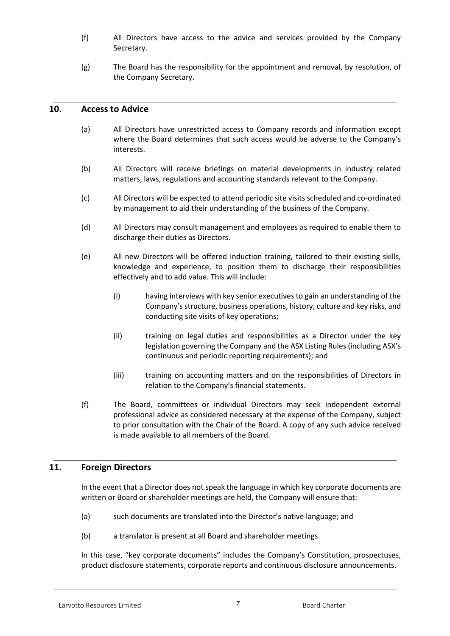- (f) All Directors have access to the advice and services provided by the Company Secretary.
- (g) The Board has the responsibility for the appointment and removal, by resolution, of the Company Secretary.

#### **10. Access to Advice**

- (a) All Directors have unrestricted access to Company records and information except where the Board determines that such access would be adverse to the Company's interests.
- (b) All Directors will receive briefings on material developments in industry related matters, laws, regulations and accounting standards relevant to the Company.
- (c) All Directors will be expected to attend periodic site visits scheduled and co-ordinated by management to aid their understanding of the business of the Company.
- (d) All Directors may consult management and employees as required to enable them to discharge their duties as Directors.
- (e) All new Directors will be offered induction training, tailored to their existing skills, knowledge and experience, to position them to discharge their responsibilities effectively and to add value. This will include:
	- (i) having interviews with key senior executives to gain an understanding of the Company's structure, business operations, history, culture and key risks, and conducting site visits of key operations;
	- (ii) training on legal duties and responsibilities as a Director under the key legislation governing the Company and the ASX Listing Rules (including ASX's continuous and periodic reporting requirements); and
	- (iii) training on accounting matters and on the responsibilities of Directors in relation to the Company's financial statements.
- (f) The Board, committees or individual Directors may seek independent external professional advice as considered necessary at the expense of the Company, subject to prior consultation with the Chair of the Board. A copy of any such advice received is made available to all members of the Board.

## **11. Foreign Directors**

In the event that a Director does not speak the language in which key corporate documents are written or Board or shareholder meetings are held, the Company will ensure that:

- (a) such documents are translated into the Director's native language; and
- (b) a translator is present at all Board and shareholder meetings.

In this case, "key corporate documents" includes the Company's Constitution, prospectuses, product disclosure statements, corporate reports and continuous disclosure announcements.